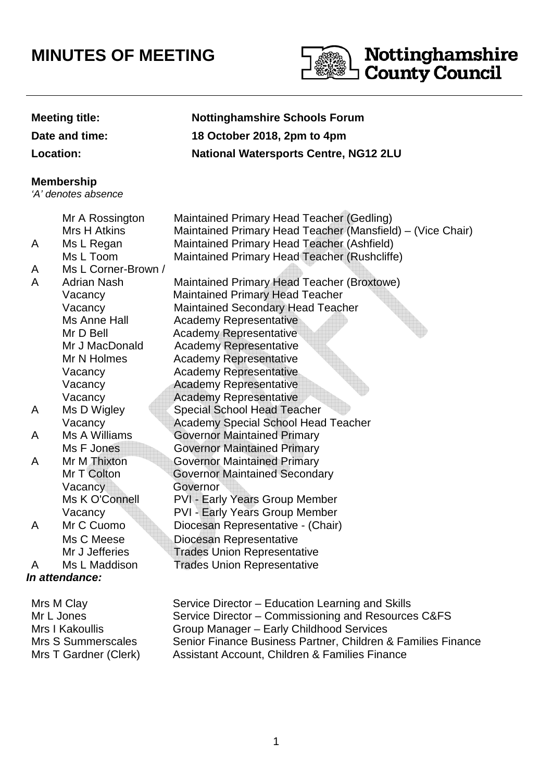## **MINUTES OF MEETING**



| <b>Meeting title:</b><br>Date and time:<br><b>Location:</b> |                                                                                                                   | <b>Nottinghamshire Schools Forum</b><br>18 October 2018, 2pm to 4pm<br><b>National Watersports Centre, NG12 2LU</b>                                                                                                                                                                                                       |
|-------------------------------------------------------------|-------------------------------------------------------------------------------------------------------------------|---------------------------------------------------------------------------------------------------------------------------------------------------------------------------------------------------------------------------------------------------------------------------------------------------------------------------|
| <b>Membership</b><br>'A' denotes absence                    |                                                                                                                   |                                                                                                                                                                                                                                                                                                                           |
| A<br>A<br>A                                                 | Mr A Rossington<br><b>Mrs H Atkins</b><br>Ms L Regan<br>Ms L Toom<br>Ms L Corner-Brown /<br><b>Adrian Nash</b>    | Maintained Primary Head Teacher (Gedling)<br>Maintained Primary Head Teacher (Mansfield) – (Vice Chair)<br>Maintained Primary Head Teacher (Ashfield)<br>Maintained Primary Head Teacher (Rushcliffe)<br>Maintained Primary Head Teacher (Broxtowe)                                                                       |
|                                                             | Vacancy<br>Vacancy<br>Ms Anne Hall<br>Mr D Bell<br>Mr J MacDonald<br>Mr N Holmes<br>Vacancy<br>Vacancy<br>Vacancy | <b>Maintained Primary Head Teacher</b><br><b>Maintained Secondary Head Teacher</b><br><b>Academy Representative</b><br><b>Academy Representative</b><br><b>Academy Representative</b><br><b>Academy Representative</b><br><b>Academy Representative</b><br><b>Academy Representative</b><br><b>Academy Representative</b> |
| A                                                           | Ms D Wigley<br>Vacancy                                                                                            | <b>Special School Head Teacher</b><br><b>Academy Special School Head Teacher</b>                                                                                                                                                                                                                                          |
| A                                                           | Ms A Williams<br>Ms F Jones                                                                                       | <b>Governor Maintained Primary</b><br><b>Governor Maintained Primary</b>                                                                                                                                                                                                                                                  |
| A                                                           | Mr M Thixton<br>Mr T Colton<br>Vacancy<br>Ms K O'Connell<br>Vacancy                                               | <b>Governor Maintained Primary</b><br><b>Governor Maintained Secondary</b><br>Governor<br><b>PVI - Early Years Group Member</b><br>PVI - Early Years Group Member                                                                                                                                                         |
| A                                                           | Mr C Cuomo<br>Ms C Meese<br>Mr J Jefferies                                                                        | Diocesan Representative - (Chair)<br>Diocesan Representative<br><b>Trades Union Representative</b>                                                                                                                                                                                                                        |
| $\mathsf{A}$                                                | Ms L Maddison<br>In attendance:                                                                                   | <b>Trades Union Representative</b>                                                                                                                                                                                                                                                                                        |
| $M_{\text{max}} M \cap \mathbb{R}$                          |                                                                                                                   | Disastes Education Leorning and Clille                                                                                                                                                                                                                                                                                    |

| Mrs M Clay            | Service Director – Education Learning and Skills             |
|-----------------------|--------------------------------------------------------------|
| Mr L Jones            | Service Director – Commissioning and Resources C&FS          |
| Mrs I Kakoullis       | Group Manager - Early Childhood Services                     |
| Mrs S Summerscales    | Senior Finance Business Partner, Children & Families Finance |
| Mrs T Gardner (Clerk) | Assistant Account, Children & Families Finance               |
|                       |                                                              |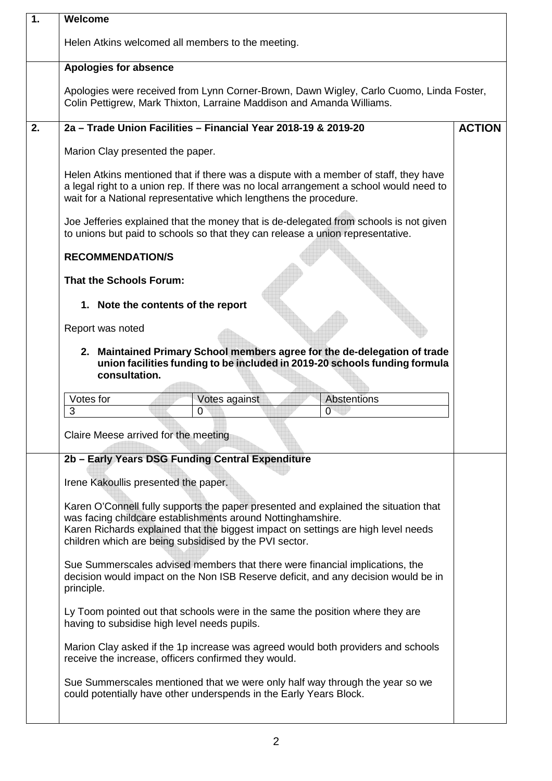| 1. | Welcome                                                                                                                                                                                                                                                                                                                                                                                                                                                                               |               |  |  |  |
|----|---------------------------------------------------------------------------------------------------------------------------------------------------------------------------------------------------------------------------------------------------------------------------------------------------------------------------------------------------------------------------------------------------------------------------------------------------------------------------------------|---------------|--|--|--|
|    | Helen Atkins welcomed all members to the meeting.                                                                                                                                                                                                                                                                                                                                                                                                                                     |               |  |  |  |
|    | <b>Apologies for absence</b>                                                                                                                                                                                                                                                                                                                                                                                                                                                          |               |  |  |  |
|    | Apologies were received from Lynn Corner-Brown, Dawn Wigley, Carlo Cuomo, Linda Foster,<br>Colin Pettigrew, Mark Thixton, Larraine Maddison and Amanda Williams.                                                                                                                                                                                                                                                                                                                      |               |  |  |  |
| 2. | 2a - Trade Union Facilities - Financial Year 2018-19 & 2019-20                                                                                                                                                                                                                                                                                                                                                                                                                        | <b>ACTION</b> |  |  |  |
|    | Marion Clay presented the paper.                                                                                                                                                                                                                                                                                                                                                                                                                                                      |               |  |  |  |
|    | Helen Atkins mentioned that if there was a dispute with a member of staff, they have<br>a legal right to a union rep. If there was no local arrangement a school would need to<br>wait for a National representative which lengthens the procedure.                                                                                                                                                                                                                                   |               |  |  |  |
|    | Joe Jefferies explained that the money that is de-delegated from schools is not given<br>to unions but paid to schools so that they can release a union representative.                                                                                                                                                                                                                                                                                                               |               |  |  |  |
|    | <b>RECOMMENDATION/S</b>                                                                                                                                                                                                                                                                                                                                                                                                                                                               |               |  |  |  |
|    | <b>That the Schools Forum:</b>                                                                                                                                                                                                                                                                                                                                                                                                                                                        |               |  |  |  |
|    | 1. Note the contents of the report                                                                                                                                                                                                                                                                                                                                                                                                                                                    |               |  |  |  |
|    | Report was noted                                                                                                                                                                                                                                                                                                                                                                                                                                                                      |               |  |  |  |
|    | 2. Maintained Primary School members agree for the de-delegation of trade<br>union facilities funding to be included in 2019-20 schools funding formula<br>consultation.                                                                                                                                                                                                                                                                                                              |               |  |  |  |
|    | Votes for<br>Abstentions<br>Votes against<br>3<br>$\overline{0}$<br>0                                                                                                                                                                                                                                                                                                                                                                                                                 |               |  |  |  |
|    | Claire Meese arrived for the meeting                                                                                                                                                                                                                                                                                                                                                                                                                                                  |               |  |  |  |
|    | 2b - Early Years DSG Funding Central Expenditure<br>Irene Kakoullis presented the paper.                                                                                                                                                                                                                                                                                                                                                                                              |               |  |  |  |
|    | Karen O'Connell fully supports the paper presented and explained the situation that<br>was facing childcare establishments around Nottinghamshire.<br>Karen Richards explained that the biggest impact on settings are high level needs<br>children which are being subsidised by the PVI sector.<br>Sue Summerscales advised members that there were financial implications, the<br>decision would impact on the Non ISB Reserve deficit, and any decision would be in<br>principle. |               |  |  |  |
|    |                                                                                                                                                                                                                                                                                                                                                                                                                                                                                       |               |  |  |  |
|    | Ly Toom pointed out that schools were in the same the position where they are<br>having to subsidise high level needs pupils.                                                                                                                                                                                                                                                                                                                                                         |               |  |  |  |
|    | Marion Clay asked if the 1p increase was agreed would both providers and schools<br>receive the increase, officers confirmed they would.                                                                                                                                                                                                                                                                                                                                              |               |  |  |  |
|    | Sue Summerscales mentioned that we were only half way through the year so we<br>could potentially have other underspends in the Early Years Block.                                                                                                                                                                                                                                                                                                                                    |               |  |  |  |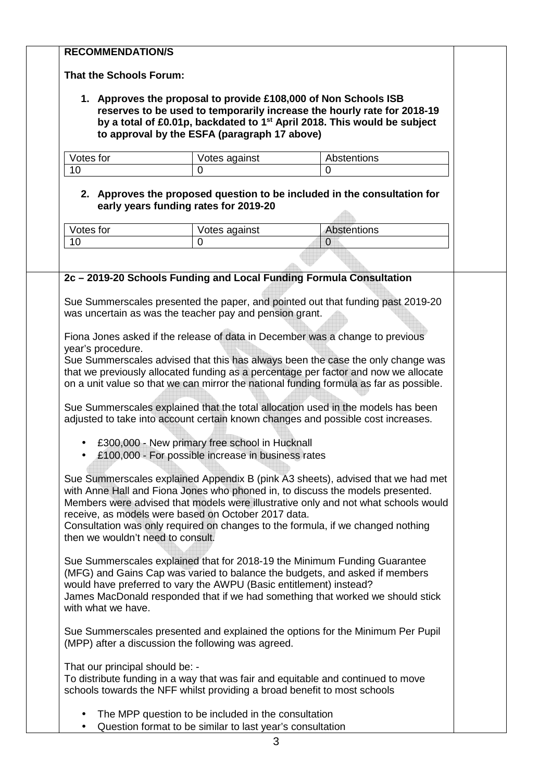## **RECOMMENDATION/S That the Schools Forum: 1. Approves the proposal to provide £108,000 of Non Schools ISB reserves to be used to temporarily increase the hourly rate for 2018-19 by a total of £0.01p, backdated to 1st April 2018. This would be subject to approval by the ESFA (paragraph 17 above)**  Votes for **Votes against** Votes and Votes against Votes **Abstentions** 10 0 **2. Approves the proposed question to be included in the consultation for early years funding rates for 2019-20**  Votes for **Votes against** Abstentions 10 0 0 **2c – 2019-20 Schools Funding and Local Funding Formula Consultation** Sue Summerscales presented the paper, and pointed out that funding past 2019-20 was uncertain as was the teacher pay and pension grant. Fiona Jones asked if the release of data in December was a change to previous year's procedure. Sue Summerscales advised that this has always been the case the only change was that we previously allocated funding as a percentage per factor and now we allocate on a unit value so that we can mirror the national funding formula as far as possible. Sue Summerscales explained that the total allocation used in the models has been adjusted to take into account certain known changes and possible cost increases. • £300,000 - New primary free school in Hucknall • £100,000 - For possible increase in business rates Sue Summerscales explained Appendix B (pink A3 sheets), advised that we had met with Anne Hall and Fiona Jones who phoned in, to discuss the models presented. Members were advised that models were illustrative only and not what schools would receive, as models were based on October 2017 data. Consultation was only required on changes to the formula, if we changed nothing then we wouldn't need to consult. Sue Summerscales explained that for 2018-19 the Minimum Funding Guarantee (MFG) and Gains Cap was varied to balance the budgets, and asked if members would have preferred to vary the AWPU (Basic entitlement) instead? James MacDonald responded that if we had something that worked we should stick with what we have Sue Summerscales presented and explained the options for the Minimum Per Pupil (MPP) after a discussion the following was agreed. That our principal should be: - To distribute funding in a way that was fair and equitable and continued to move schools towards the NFF whilst providing a broad benefit to most schools

- The MPP question to be included in the consultation
- Question format to be similar to last year's consultation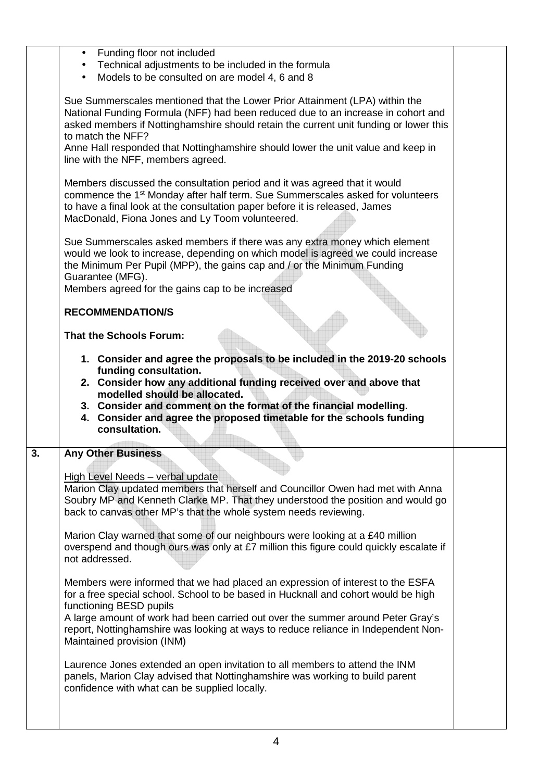|    | Funding floor not included<br>$\bullet$                                                                                                                                                                                                                                                                                                                           |  |
|----|-------------------------------------------------------------------------------------------------------------------------------------------------------------------------------------------------------------------------------------------------------------------------------------------------------------------------------------------------------------------|--|
|    | Technical adjustments to be included in the formula<br>$\bullet$<br>Models to be consulted on are model 4, 6 and 8                                                                                                                                                                                                                                                |  |
|    | $\bullet$                                                                                                                                                                                                                                                                                                                                                         |  |
|    | Sue Summerscales mentioned that the Lower Prior Attainment (LPA) within the<br>National Funding Formula (NFF) had been reduced due to an increase in cohort and<br>asked members if Nottinghamshire should retain the current unit funding or lower this<br>to match the NFF?<br>Anne Hall responded that Nottinghamshire should lower the unit value and keep in |  |
|    | line with the NFF, members agreed.                                                                                                                                                                                                                                                                                                                                |  |
|    | Members discussed the consultation period and it was agreed that it would<br>commence the 1 <sup>st</sup> Monday after half term. Sue Summerscales asked for volunteers<br>to have a final look at the consultation paper before it is released, James<br>MacDonald, Fiona Jones and Ly Toom volunteered.                                                         |  |
|    | Sue Summerscales asked members if there was any extra money which element<br>would we look to increase, depending on which model is agreed we could increase<br>the Minimum Per Pupil (MPP), the gains cap and / or the Minimum Funding<br>Guarantee (MFG).                                                                                                       |  |
|    | Members agreed for the gains cap to be increased                                                                                                                                                                                                                                                                                                                  |  |
|    | <b>RECOMMENDATION/S</b>                                                                                                                                                                                                                                                                                                                                           |  |
|    | <b>That the Schools Forum:</b>                                                                                                                                                                                                                                                                                                                                    |  |
|    | 1. Consider and agree the proposals to be included in the 2019-20 schools<br>funding consultation.                                                                                                                                                                                                                                                                |  |
|    | 2. Consider how any additional funding received over and above that<br>modelled should be allocated.<br>3. Consider and comment on the format of the financial modelling.<br>4. Consider and agree the proposed timetable for the schools funding<br>consultation.                                                                                                |  |
| 3. | <b>Any Other Business</b>                                                                                                                                                                                                                                                                                                                                         |  |
|    |                                                                                                                                                                                                                                                                                                                                                                   |  |
|    | High Level Needs - verbal update<br>Marion Clay updated members that herself and Councillor Owen had met with Anna<br>Soubry MP and Kenneth Clarke MP. That they understood the position and would go<br>back to canvas other MP's that the whole system needs reviewing.                                                                                         |  |
|    | Marion Clay warned that some of our neighbours were looking at a £40 million<br>overspend and though ours was only at £7 million this figure could quickly escalate if<br>not addressed.                                                                                                                                                                          |  |
|    | Members were informed that we had placed an expression of interest to the ESFA<br>for a free special school. School to be based in Hucknall and cohort would be high<br>functioning BESD pupils                                                                                                                                                                   |  |
|    | A large amount of work had been carried out over the summer around Peter Gray's<br>report, Nottinghamshire was looking at ways to reduce reliance in Independent Non-<br>Maintained provision (INM)                                                                                                                                                               |  |
|    | Laurence Jones extended an open invitation to all members to attend the INM<br>panels, Marion Clay advised that Nottinghamshire was working to build parent<br>confidence with what can be supplied locally.                                                                                                                                                      |  |